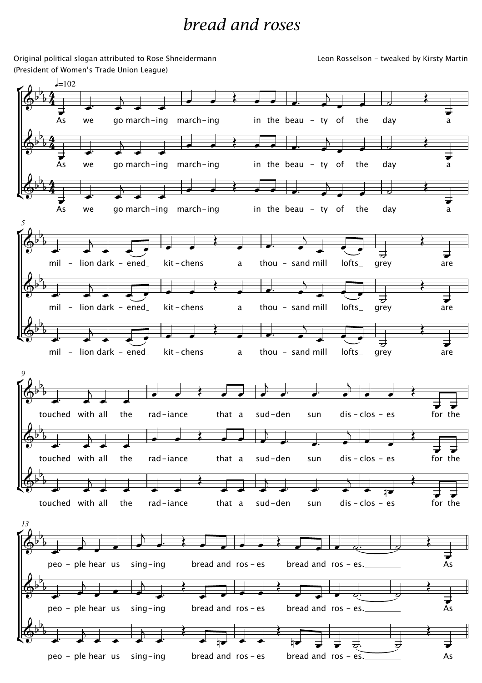## bread and roses

Original political slogan attributed to Rose Shneidermann (President of Women's Trade Union League)

Leon Rosselson - tweaked by Kirsty Martin

É Ľ É Ľ ŕ Ľ É Ľ we go march-ing march-ing  $\frac{1}{\pi}$  in the beau - ty of the day  $=102$ we go march-ing march-ing  $\frac{1}{\pi}$  in the beau - ty of the day we go march-ing march-ing  $\frac{1}{\pi}$  in the beau - ty of the day mil - lion dark - ened  $-$  kit - chens  $-$  a thou - sand mill lofts  $-$ *5* mil - lion dark - ened  $-$  kit - chens  $-$  a thou - sand mill lofts  $$ mil - lion dark - ened  $-$  kit - chens  $-$  a thou - sand mill lofts grey touched with all the  $rad$ -jance  $-$  that a sud-den sun dis-clos  $-$  es *9* touched with all the  $rad$ -iance  $-$  that a sud-den  $-$  sun dis-clos - es touched with all the  $rad$ -iance  $-$  that a sud-den  $-$  sun dis-clos - es  $peo - ple hear us sinq - inq$  bread and  $ros - es$  bread and ros - es. *13* peo – ple hear us sing-ing bread and ros – es bread and ros – es.  $\overline{As}$ 4  $\frac{4}{4}$ 4  $\frac{4}{4}$ 4  $\frac{4}{4}$  $\overline{\mathbb{G}^{\flat}}$ b  $\overline{b}$  $\overline{\mathbb{Q}^{\flat}}$ b  $\overline{b}$  $\overline{\mathbb{Q}^{\flat}}$ b  $\overline{b}$  $\Phi^{\flat}$  $\mathbf{b}$  $\overline{b}$  $\overline{\mathbb{Q}^{\flat}}$ b  $\overline{b}$  $\overline{\mathbb{Q}^{\flat}}$ b  $\overline{b}$  $\overline{\mathbb{G}^{\flat}}$  $\mathbf{b}$  $\overline{b}$  $\overline{\mathbb{G}^{\flat}}$  $\mathbf{b}$  $\overline{b}$  $\overline{\mathbb{G}^{\flat}}$  $\mathbf{b}$  $\overline{b}$  $\overline{\mathbb{G}^{\flat}}$ b  $\overline{b}$  $\overline{\mathbb{Q}^{\flat}}$  $\mathbf{b}$  $\overline{b}$  $\overline{\mathbb{Q}^{\flat}}$ b  $\overline{b}$ **As**  $\overline{\phantom{a}}$  $\overline{}$  $\overline{\cdot}$  $\overline{\phantom{a}}$  $\frac{1}{2}$  $\overline{\phantom{0}}$  $\overline{\phantom{a}}$  $\overline{\mathbf{r}}$  $\mathsf{a}$  $\overline{As}$  $\overline{\phantom{a}}$  $\overline{}$  $\overline{\cdot}$  $\overline{\phantom{a}}$  $\frac{1}{2}$  .  $\overline{A}$  $\overline{\phantom{a}}$ ≹ a  $\vec{A}$ s  $\overline{\phantom{a}}$  $\overline{}$  $\overline{\cdot}$  $\overline{\phantom{a}}$  $\frac{1}{2}$  .  $\overline{X}$  $\overrightarrow{a}$ ≹  $\mathsf{a}$  $\overline{\phantom{a}}$  $\overline{1}$  $\overline{a}$  $\overline{\mathbf{r}}$  $\overline{\phantom{a}}$   $\overline{\phantom{a}}$   $\overline{\phantom{a}}$   $\overline{\phantom{a}}$  $\overline{A}$  $\overline{\phantom{a}}$  $\overline{\cdot}$ grey  $\overline{\mathbf{r}}$ are  $\overline{\cdot}$   $\overline{\cdot}$  $\overline{1}$  $\overline{a}$  $\overline{\mathbf{r}}$  $\overline{\phantom{a}}$   $\overline{\phantom{a}}$   $\overline{\phantom{a}}$   $\overline{\phantom{a}}$  $\overline{A}$  $\overline{\phantom{a}}$  $\overline{\cdot}$ grey  $\overline{\mathbf{r}}$ are  $\frac{1}{\sigma}$   $\frac{1}{\sigma}$  $\overline{1}$  $\overline{a}$ ≹  $\overline{\phantom{a}}$   $\overline{\phantom{a}}$   $\overline{\phantom{a}}$   $\overline{\phantom{a}}$  $\overline{N}$  $\overline{\phantom{a}}$  $\overline{\cdot}$  $\rightarrow$ ≹ are  $\overline{\phantom{a}}$  $\overline{}$  $\overline{\cdot}$   $\left\langle \left\langle \left\langle \left\langle \cdot \right\rangle \right\rangle \left\langle \cdot \right\rangle \right\rangle \right\rangle$  $\overline{a}$  $\overrightarrow{a}$   $\overrightarrow{a}$  $\overline{a}$  ≹ for the  $\overline{\phantom{a}}$  $\overline{}$  $\overline{\cdot}$  $\overline{\phantom{a}}$  $\left\langle \left\langle \left\langle \cdot,\cdot\right\rangle \right\rangle \right\rangle$  $\overline{a}$  $\overrightarrow{a}$   $\overrightarrow{a}$  $\overline{1}$  $\overline{\phantom{a}}$ ≹ for the  $\overline{\phantom{a}}$  $\overline{}$  $\overrightarrow{ }$ ≹  $\overrightarrow{ }$  $\overline{\phantom{a}}$  $\overrightarrow{a}$   $\overrightarrow{a}$  $\overline{}$  $\overline{\phantom{a}}$ ≹ for the  $\overline{\phantom{a}}$  $\overline{A}$  $\overline{\phantom{a}}$  $\overline{\phantom{a}}$  $\overline{a}$  $\overrightarrow{a}$  $\overline{\bullet}$  $\bullet$   $\bullet$   $\circ$  $\overline{\mathbf{r}}$  $\overline{As}$  $\overline{\phantom{a}}$  $\overline{A}$  $\overline{\phantom{a}}$  $\overline{\phantom{a}}$  $\overline{1}$  $\frac{1}{2}$ ≹  $\begin{array}{ccc} \hline \end{array}$ ≹  $\bullet$   $\bullet$   $\circ$ ≹ 7  $\frac{1}{\epsilon}$  $\overline{\phantom{a}}$  $\overrightarrow{ }$  $\overline{\phantom{a}}$  $\frac{1}{\bullet}$ ≹  $\frac{1}{\sqrt{1-\frac{1}{\sqrt{1-\frac{1}{\sqrt{1-\frac{1}{\sqrt{1-\frac{1}{\sqrt{1-\frac{1}{\sqrt{1-\frac{1}{\sqrt{1-\frac{1}{\sqrt{1-\frac{1}{\sqrt{1-\frac{1}{\sqrt{1-\frac{1}{\sqrt{1-\frac{1}{\sqrt{1-\frac{1}{\sqrt{1-\frac{1}{\sqrt{1-\frac{1}{\sqrt{1-\frac{1}{\sqrt{1-\frac{1}{\sqrt{1-\frac{1}{\sqrt{1-\frac{1}{\sqrt{1-\frac{1}{\sqrt{1-\frac{1}{\sqrt{1-\frac{1}{\sqrt{1-\frac{1}{\sqrt{1-\frac{1}{\sqrt{1-\frac{1$  $\overline{\mathbf{r}}$  $\frac{1}{2}$   $\frac{1}{2}$   $\frac{1}{2}$   $\frac{1}{2}$   $\frac{1}{2}$ ≹  $\overline{\phantom{0}}$ 

 $peo - ple hear us sing-ing - ing$  bread and ros - es bread and ros - es.  $\sim$  As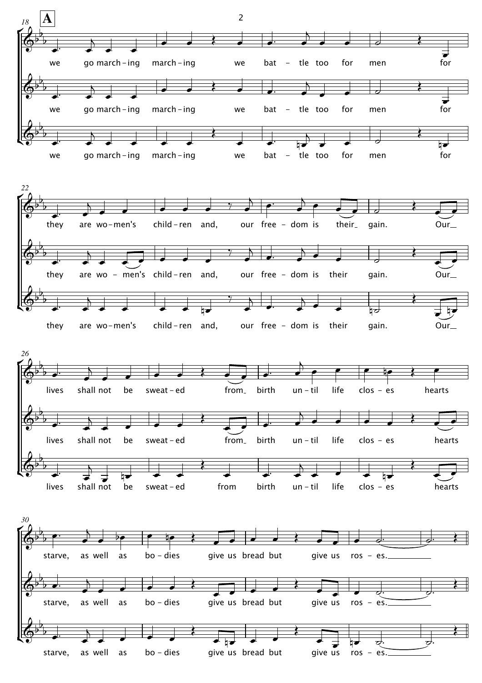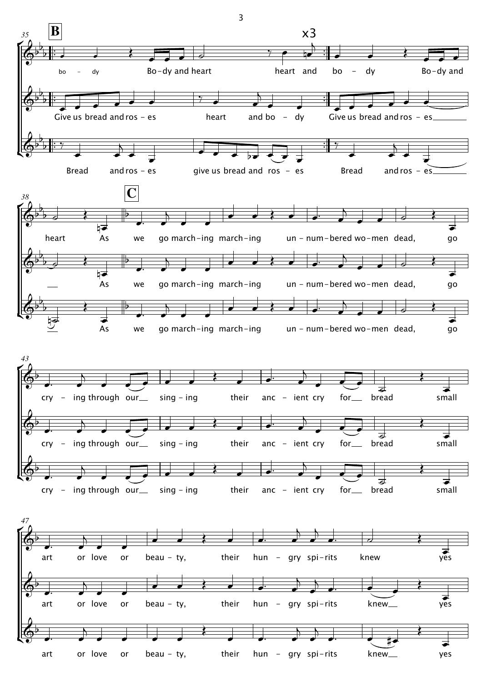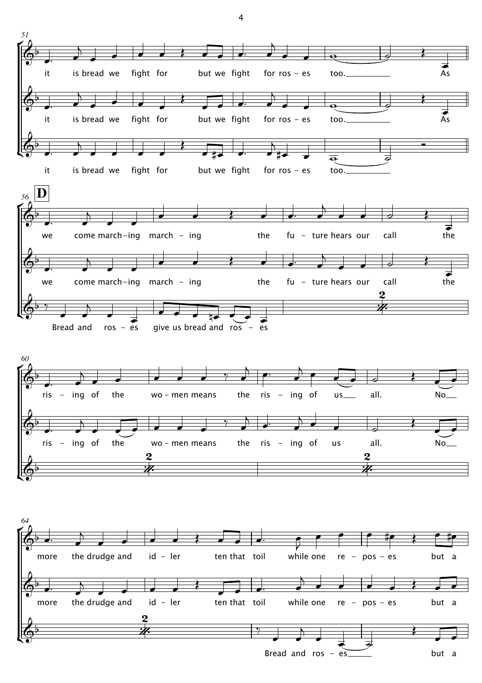

4